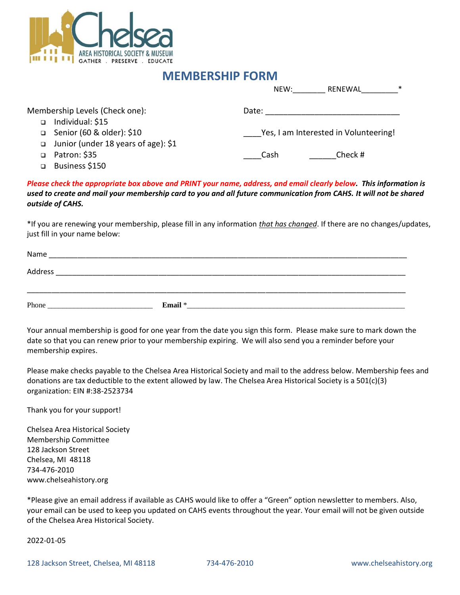

## **MEMBERSHIP FORM**

|                                          | NEW:                                  | $\ast$<br>RENEWAL |
|------------------------------------------|---------------------------------------|-------------------|
| Membership Levels (Check one):           | Date:                                 |                   |
| Individual: \$15                         |                                       |                   |
| Senior (60 & older): \$10<br>$\Box$      | Yes, I am Interested in Volunteering! |                   |
| Junior (under 18 years of age): \$1<br>□ |                                       |                   |
| Patron: \$35                             | Cash                                  | Check #           |

Business \$150

*Please check the appropriate box above and PRINT your name, address, and email clearly below. This information is used to create and mail your membership card to you and all future communication from CAHS. It will not be shared outside of CAHS.*

\*If you are renewing your membership, please fill in any information *that has changed*. If there are no changes/updates, just fill in your name below:

| Name    |         |
|---------|---------|
| Address |         |
|         |         |
| Phone   | Email * |

Your annual membership is good for one year from the date you sign this form. Please make sure to mark down the date so that you can renew prior to your membership expiring. We will also send you a reminder before your membership expires.

Please make checks payable to the Chelsea Area Historical Society and mail to the address below. Membership fees and donations are tax deductible to the extent allowed by law. The Chelsea Area Historical Society is a 501(c)(3) organization: EIN #:38-2523734

Thank you for your support!

Chelsea Area Historical Society Membership Committee 128 Jackson Street Chelsea, MI 48118 734-476-2010 www.chelseahistory.org

\*Please give an email address if available as CAHS would like to offer a "Green" option newsletter to members. Also, your email can be used to keep you updated on CAHS events throughout the year. Your email will not be given outside of the Chelsea Area Historical Society.

2022-01-05